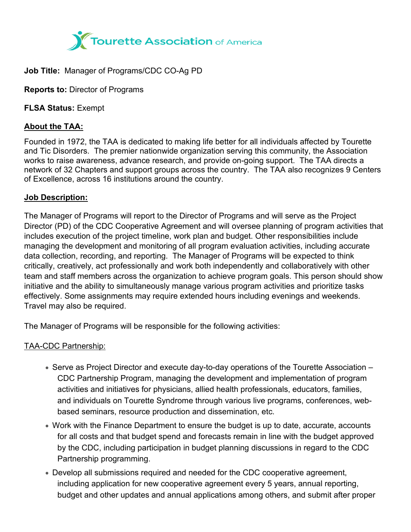

# **Job Title:** Manager of Programs/CDC CO-Ag PD

**Reports to:** Director of Programs

**FLSA Status:** Exempt

# **About the TAA:**

Founded in 1972, the TAA is dedicated to making life better for all individuals affected by Tourette and Tic Disorders. The premier nationwide organization serving this community, the Association works to raise awareness, advance research, and provide on-going support. The TAA directs a network of 32 Chapters and support groups across the country. The TAA also recognizes 9 Centers of Excellence, across 16 institutions around the country.

#### **Job Description:**

The Manager of Programs will report to the Director of Programs and will serve as the Project Director (PD) of the CDC Cooperative Agreement and will oversee planning of program activities that includes execution of the project timeline, work plan and budget. Other responsibilities include managing the development and monitoring of all program evaluation activities, including accurate data collection, recording, and reporting. The Manager of Programs will be expected to think critically, creatively, act professionally and work both independently and collaboratively with other team and staff members across the organization to achieve program goals. This person should show initiative and the ability to simultaneously manage various program activities and prioritize tasks effectively. Some assignments may require extended hours including evenings and weekends. Travel may also be required.

The Manager of Programs will be responsible for the following activities:

# TAA-CDC Partnership:

- Serve as Project Director and execute day-to-day operations of the Tourette Association CDC Partnership Program, managing the development and implementation of program activities and initiatives for physicians, allied health professionals, educators, families, and individuals on Tourette Syndrome through various live programs, conferences, webbased seminars, resource production and dissemination, etc.
- Work with the Finance Department to ensure the budget is up to date, accurate, accounts for all costs and that budget spend and forecasts remain in line with the budget approved by the CDC, including participation in budget planning discussions in regard to the CDC Partnership programming.
- Develop all submissions required and needed for the CDC cooperative agreement, including application for new cooperative agreement every 5 years, annual reporting, budget and other updates and annual applications among others, and submit after proper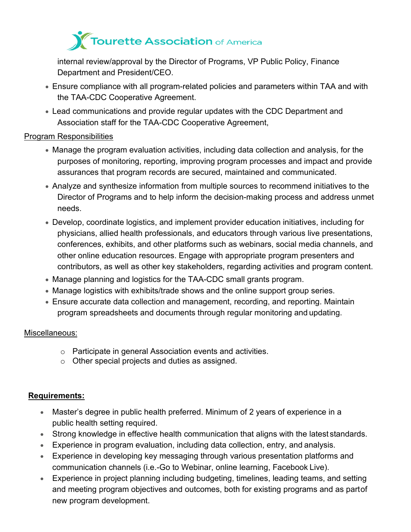

 internal review/approval by the Director of Programs, VP Public Policy, Finance Department and President/CEO.

- Ensure compliance with all program-related policies and parameters within TAA and with the TAA-CDC Cooperative Agreement.
- Lead communications and provide regular updates with the CDC Department and Association staff for the TAA-CDC Cooperative Agreement,

## Program Responsibilities

- Manage the program evaluation activities, including data collection and analysis, for the purposes of monitoring, reporting, improving program processes and impact and provide assurances that program records are secured, maintained and communicated.
- Analyze and synthesize information from multiple sources to recommend initiatives to the Director of Programs and to help inform the decision-making process and address unmet needs.
- Develop, coordinate logistics, and implement provider education initiatives, including for physicians, allied health professionals, and educators through various live presentations, conferences, exhibits, and other platforms such as webinars, social media channels, and other online education resources. Engage with appropriate program presenters and contributors, as well as other key stakeholders, regarding activities and program content.
- Manage planning and logistics for the TAA-CDC small grants program.
- Manage logistics with exhibits/trade shows and the online support group series.
- Ensure accurate data collection and management, recording, and reporting. Maintain program spreadsheets and documents through regular monitoring and updating.

#### Miscellaneous:

- o Participate in general Association events and activities.
- o Other special projects and duties as assigned.

# **Requirements:**

- Master's degree in public health preferred. Minimum of 2 years of experience in a public health setting required.
- Strong knowledge in effective health communication that aligns with the latest standards.
- Experience in program evaluation, including data collection, entry, and analysis.
- Experience in developing key messaging through various presentation platforms and communication channels (i.e.-Go to Webinar, online learning, Facebook Live).
- Experience in project planning including budgeting, timelines, leading teams, and setting and meeting program objectives and outcomes, both for existing programs and as partof new program development.